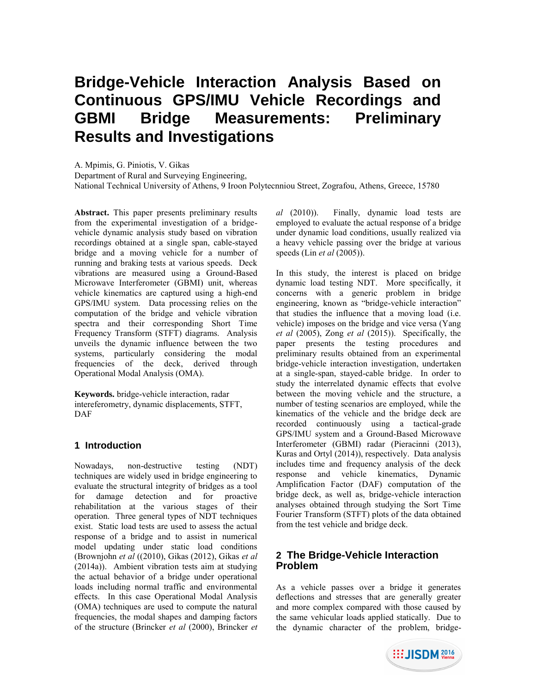# **Bridge-Vehicle Interaction Analysis Based on Continuous GPS/IMU Vehicle Recordings and GBMI Bridge Measurements: Preliminary Results and Investigations**

A. Mpimis, G. Piniotis, V. Gikas

Department of Rural and Surveying Engineering,

National Technical University of Athens, 9 Iroon Polytecnniou Street, Zografou, Athens, Greece, 15780

**Abstract.** This paper presents preliminary results from the experimental investigation of a bridgevehicle dynamic analysis study based on vibration recordings obtained at a single span, cable-stayed bridge and a moving vehicle for a number of running and braking tests at various speeds. Deck vibrations are measured using a Ground-Based Microwave Interferometer (GBMI) unit, whereas vehicle kinematics are captured using a high-end GPS/IMU system. Data processing relies on the computation of the bridge and vehicle vibration spectra and their corresponding Short Time Frequency Transform (STFT) diagrams. Analysis unveils the dynamic influence between the two systems, particularly considering the modal frequencies of the deck, derived through Operational Modal Analysis (OMA).

**Keywords.** bridge-vehicle interaction, radar intereferometry, dynamic displacements, STFT, DAF

## **1 Introduction**

Nowadays, non-destructive testing (NDT) techniques are widely used in bridge engineering to evaluate the structural integrity of bridges as a tool for damage detection and for proactive rehabilitation at the various stages of their operation. Three general types of NDT techniques exist. Static load tests are used to assess the actual response of a bridge and to assist in numerical model updating under static load conditions (Brownjohn *et al* ((2010), Gikas (2012), Gikas *et al*  (2014a)). Ambient vibration tests aim at studying the actual behavior of a bridge under operational loads including normal traffic and environmental effects. In this case Operational Modal Analysis (OMA) techniques are used to compute the natural frequencies, the modal shapes and damping factors of the structure (Brincker *et al* (2000), Brincker *et*  *al* (2010)). Finally, dynamic load tests are employed to evaluate the actual response of a bridge under dynamic load conditions, usually realized via a heavy vehicle passing over the bridge at various speeds (Lin *et al* (2005)).

In this study, the interest is placed on bridge dynamic load testing NDT. More specifically, it concerns with a generic problem in bridge engineering, known as "bridge-vehicle interaction" that studies the influence that a moving load (i.e. vehicle) imposes on the bridge and vice versa (Yang *et al* (2005), Zong *et al* (2015)). Specifically, the paper presents the testing procedures and preliminary results obtained from an experimental bridge-vehicle interaction investigation, undertaken at a single-span, stayed-cable bridge. In order to study the interrelated dynamic effects that evolve between the moving vehicle and the structure, a number of testing scenarios are employed, while the kinematics of the vehicle and the bridge deck are recorded continuously using a tactical-grade GPS/IMU system and a Ground-Based Microwave Interferometer (GBMI) radar (Pieracinni (2013), Kuras and Ortyl (2014)), respectively. Data analysis includes time and frequency analysis of the deck response and vehicle kinematics, Dynamic Amplification Factor (DAF) computation of the bridge deck, as well as, bridge-vehicle interaction analyses obtained through studying the Sort Time Fourier Transform (STFT) plots of the data obtained from the test vehicle and bridge deck.

# **2 The Bridge-Vehicle Interaction Problem**

As a vehicle passes over a bridge it generates deflections and stresses that are generally greater and more complex compared with those caused by the same vehicular loads applied statically. Due to the dynamic character of the problem, bridge-

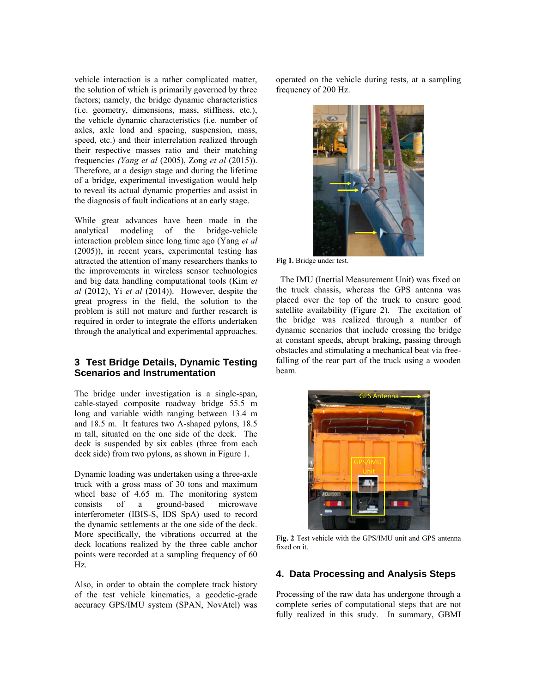vehicle interaction is a rather complicated matter, the solution of which is primarily governed by three factors; namely, the bridge dynamic characteristics (i.e. geometry, dimensions, mass, stiffness, etc.), the vehicle dynamic characteristics (i.e. number of axles, axle load and spacing, suspension, mass, speed, etc.) and their interrelation realized through their respective masses ratio and their matching frequencies *(Yang et al* (2005), Zong *et al* (2015)). Therefore, at a design stage and during the lifetime of a bridge, experimental investigation would help to reveal its actual dynamic properties and assist in the diagnosis of fault indications at an early stage.

While great advances have been made in the analytical modeling of the bridge-vehicle interaction problem since long time ago (Yang *et al*  (2005)), in recent years, experimental testing has attracted the attention of many researchers thanks to the improvements in wireless sensor technologies and big data handling computational tools (Kim *et al* (2012), Yi *et al* (2014)). However, despite the great progress in the field, the solution to the problem is still not mature and further research is required in order to integrate the efforts undertaken through the analytical and experimental approaches.

#### **3 Test Bridge Details, Dynamic Testing Scenarios and Instrumentation**

The bridge under investigation is a single-span, cable-stayed composite roadway bridge 55.5 m long and variable width ranging between 13.4 m and 18.5 m. It features two  $\Lambda$ -shaped pylons, 18.5 m tall, situated on the one side of the deck. The deck is suspended by six cables (three from each deck side) from two pylons, as shown in Figure 1.

Dynamic loading was undertaken using a three-axle truck with a gross mass of 30 tons and maximum wheel base of 4.65 m. The monitoring system consists of a ground-based microwave interferometer (IBIS-S, IDS SpA) used to record the dynamic settlements at the one side of the deck. More specifically, the vibrations occurred at the deck locations realized by the three cable anchor points were recorded at a sampling frequency of 60 Hz.

Also, in order to obtain the complete track history of the test vehicle kinematics, a geodetic-grade accuracy GPS/IMU system (SPAN, NovAtel) was

operated on the vehicle during tests, at a sampling frequency of 200 Hz.



**Fig 1.** Bridge under test.

 The IMU (Inertial Measurement Unit) was fixed on the truck chassis, whereas the GPS antenna was placed over the top of the truck to ensure good satellite availability (Figure 2). The excitation of the bridge was realized through a number of dynamic scenarios that include crossing the bridge at constant speeds, abrupt braking, passing through obstacles and stimulating a mechanical beat via freefalling of the rear part of the truck using a wooden beam.



**Fig. 2** Test vehicle with the GPS/IMU unit and GPS antenna fixed on it.

#### **4. Data Processing and Analysis Steps**

Processing of the raw data has undergone through a complete series of computational steps that are not fully realized in this study. In summary, GBMI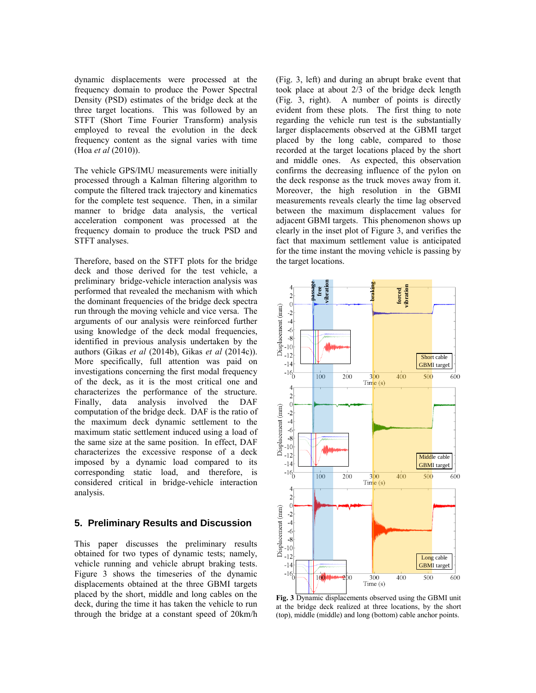dynamic displacements were processed at the frequency domain to produce the Power Spectral Density (PSD) estimates of the bridge deck at the three target locations. This was followed by an STFT (Short Time Fourier Transform) analysis employed to reveal the evolution in the deck frequency content as the signal varies with time (Hoa *et al* (2010)).

The vehicle GPS/IMU measurements were initially processed through a Kalman filtering algorithm to compute the filtered track trajectory and kinematics for the complete test sequence. Then, in a similar manner to bridge data analysis, the vertical acceleration component was processed at the frequency domain to produce the truck PSD and STFT analyses.

Therefore, based on the STFT plots for the bridge deck and those derived for the test vehicle, a preliminary bridge-vehicle interaction analysis was performed that revealed the mechanism with which the dominant frequencies of the bridge deck spectra run through the moving vehicle and vice versa. The arguments of our analysis were reinforced further using knowledge of the deck modal frequencies, identified in previous analysis undertaken by the authors (Gikas *et al* (2014b), Gikas *et al* (2014c)). More specifically, full attention was paid on investigations concerning the first modal frequency of the deck, as it is the most critical one and characterizes the performance of the structure. Finally, data analysis involved the DAF computation of the bridge deck. DAF is the ratio of the maximum deck dynamic settlement to the maximum static settlement induced using a load of the same size at the same position. In effect, DAF characterizes the excessive response of a deck imposed by a dynamic load compared to its corresponding static load, and therefore, is considered critical in bridge-vehicle interaction analysis.

#### **5. Preliminary Results and Discussion**

This paper discusses the preliminary results obtained for two types of dynamic tests; namely, vehicle running and vehicle abrupt braking tests. Figure 3 shows the timeseries of the dynamic displacements obtained at the three GBMI targets placed by the short, middle and long cables on the deck, during the time it has taken the vehicle to run through the bridge at a constant speed of 20km/h (Fig. 3, left) and during an abrupt brake event that took place at about 2/3 of the bridge deck length (Fig. 3, right). A number of points is directly evident from these plots. The first thing to note regarding the vehicle run test is the substantially larger displacements observed at the GBMI target placed by the long cable, compared to those recorded at the target locations placed by the short and middle ones. As expected, this observation confirms the decreasing influence of the pylon on the deck response as the truck moves away from it. Moreover, the high resolution in the GBMI measurements reveals clearly the time lag observed between the maximum displacement values for adjacent GBMI targets. This phenomenon shows up clearly in the inset plot of Figure 3, and verifies the fact that maximum settlement value is anticipated for the time instant the moving vehicle is passing by the target locations.



**Fig. 3** Dynamic displacements observed using the GBMI unit at the bridge deck realized at three locations, by the short (top), middle (middle) and long (bottom) cable anchor points.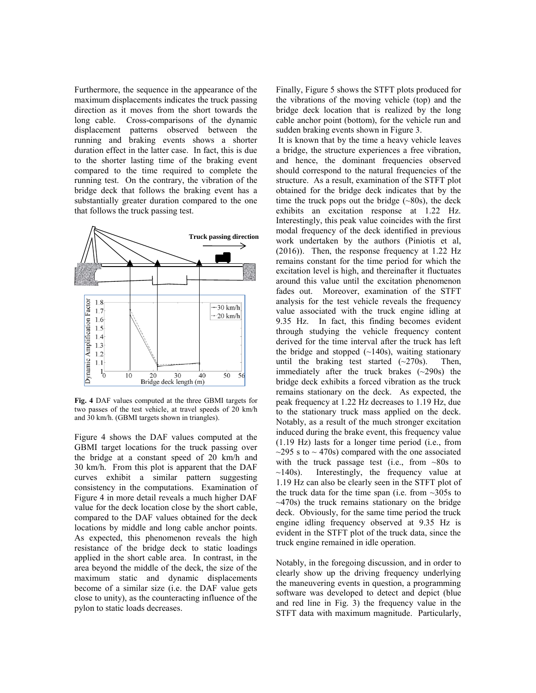Furthermore, the sequence in the appearance of the maximum displacements indicates the truck passing direction as it moves from the short towards the long cable. Cross-comparisons of the dynamic displacement patterns observed between the running and braking events shows a shorter duration effect in the latter case. In fact, this is due to the shorter lasting time of the braking event compared to the time required to complete the running test. On the contrary, the vibration of the bridge deck that follows the braking event has a substantially greater duration compared to the one that follows the truck passing test.



**Fig. 4** DAF values computed at the three GBMI targets for two passes of the test vehicle, at travel speeds of 20 km/h and 30 km/h. (GBMI targets shown in triangles).

Figure 4 shows the DAF values computed at the GBMI target locations for the truck passing over the bridge at a constant speed of 20 km/h and 30 km/h. From this plot is apparent that the DAF curves exhibit a similar pattern suggesting consistency in the computations. Examination of Figure 4 in more detail reveals a much higher DAF value for the deck location close by the short cable, compared to the DAF values obtained for the deck locations by middle and long cable anchor points. As expected, this phenomenon reveals the high resistance of the bridge deck to static loadings applied in the short cable area. In contrast, in the area beyond the middle of the deck, the size of the maximum static and dynamic displacements become of a similar size (i.e. the DAF value gets close to unity), as the counteracting influence of the pylon to static loads decreases.

Finally, Figure 5 shows the STFT plots produced for the vibrations of the moving vehicle (top) and the bridge deck location that is realized by the long cable anchor point (bottom), for the vehicle run and sudden braking events shown in Figure 3.

It is known that by the time a heavy vehicle leaves a bridge, the structure experiences a free vibration, and hence, the dominant frequencies observed should correspond to the natural frequencies of the structure. As a result, examination of the STFT plot obtained for the bridge deck indicates that by the time the truck pops out the bridge  $(-80s)$ , the deck exhibits an excitation response at 1.22 Hz. Interestingly, this peak value coincides with the first modal frequency of the deck identified in previous work undertaken by the authors (Piniotis et al, (2016)). Then, the response frequency at 1.22 Hz remains constant for the time period for which the excitation level is high, and thereinafter it fluctuates around this value until the excitation phenomenon fades out. Moreover, examination of the STFT analysis for the test vehicle reveals the frequency value associated with the truck engine idling at 9.35 Hz. In fact, this finding becomes evident through studying the vehicle frequency content derived for the time interval after the truck has left the bridge and stopped  $(-140s)$ , waiting stationary until the braking test started  $(-270s)$ . Then, immediately after the truck brakes  $(\sim 290s)$  the bridge deck exhibits a forced vibration as the truck remains stationary on the deck. As expected, the peak frequency at 1.22 Hz decreases to 1.19 Hz, due to the stationary truck mass applied on the deck. Notably, as a result of the much stronger excitation induced during the brake event, this frequency value (1.19 Hz) lasts for a longer time period (i.e., from  $\sim$ 295 s to  $\sim$  470s) compared with the one associated with the truck passage test (i.e., from ~80s to  $\sim$ 140s). Interestingly, the frequency value at 1.19 Hz can also be clearly seen in the STFT plot of the truck data for the time span (i.e. from  $\sim$ 305s to  $\sim$ 470s) the truck remains stationary on the bridge deck. Obviously, for the same time period the truck engine idling frequency observed at 9.35 Hz is evident in the STFT plot of the truck data, since the truck engine remained in idle operation.

Notably, in the foregoing discussion, and in order to clearly show up the driving frequency underlying the maneuvering events in question, a programming software was developed to detect and depict (blue and red line in Fig. 3) the frequency value in the STFT data with maximum magnitude. Particularly,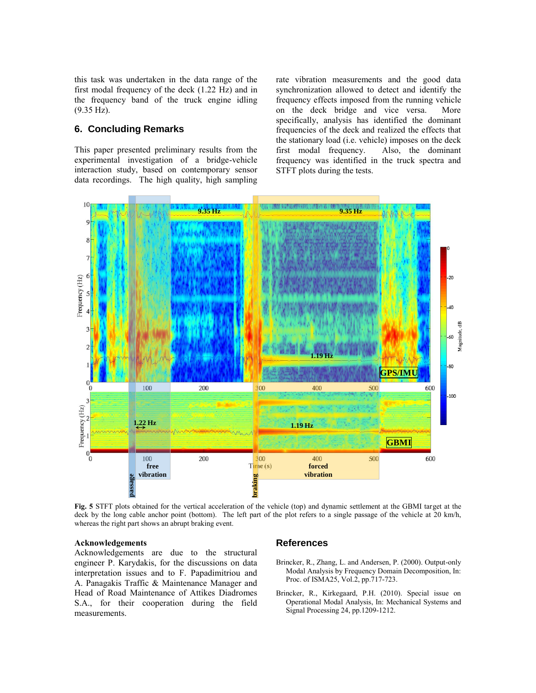this task was undertaken in the data range of the first modal frequency of the deck (1.22 Hz) and in the frequency band of the truck engine idling (9.35 Hz).

## **6. Concluding Remarks**

This paper presented preliminary results from the experimental investigation of a bridge-vehicle interaction study, based on contemporary sensor data recordings. The high quality, high sampling rate vibration measurements and the good data synchronization allowed to detect and identify the frequency effects imposed from the running vehicle on the deck bridge and vice versa. More specifically, analysis has identified the dominant frequencies of the deck and realized the effects that the stationary load (i.e. vehicle) imposes on the deck first modal frequency. Also, the dominant frequency was identified in the truck spectra and STFT plots during the tests.



**Fig. 5** STFT plots obtained for the vertical acceleration of the vehicle (top) and dynamic settlement at the GBMI target at the deck by the long cable anchor point (bottom). The left part of the plot refers to a single passage of the vehicle at 20 km/h, whereas the right part shows an abrupt braking event.

#### **Acknowledgements**

Acknowledgements are due to the structural engineer P. Karydakis, for the discussions on data interpretation issues and to F. Papadimitriou and A. Panagakis Traffic & Maintenance Manager and Head of Road Maintenance of Attikes Diadromes S.A., for their cooperation during the field measurements.

#### **References**

- Brincker, R., Zhang, L. and Andersen, P. (2000). Output-only Modal Analysis by Frequency Domain Decomposition, In: Proc. of ISMA25, Vol.2, pp.717-723.
- Brincker, R., Kirkegaard, P.H. (2010). Special issue on Operational Modal Analysis, In: Mechanical Systems and Signal Processing 24, pp.1209-1212.